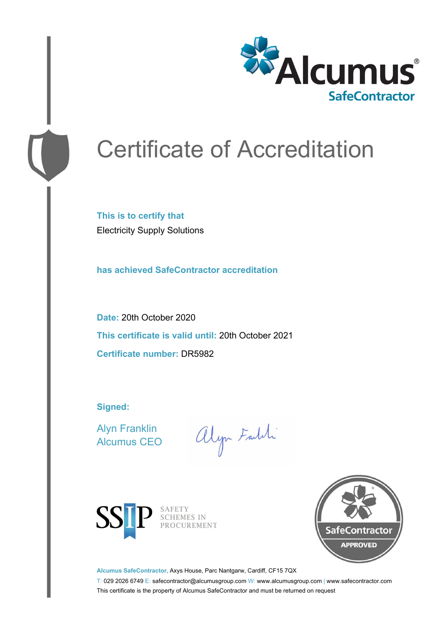

# Certificate of Accreditation

**This is to certify that** Electricity Supply Solutions

**has achieved SafeContractor accreditation**

**Date:** 20th October 2020 **This certificate is valid until:** 20th October 2021 **Certificate number:** DR5982

**Signed:**

Alyn Franklin Alcumus CEO

alyn Faith



SAFETY SCHEMES IN PROCUREMENT



**Alcumus SafeContractor,** Axys House, Parc Nantgarw, Cardiff, CF15 7QX

T: 029 2026 6749 E: safecontractor@alcumusgroup.com W: www.alcumusgroup.com | www.safecontractor.com This certificate is the property of Alcumus SafeContractor and must be returned on request